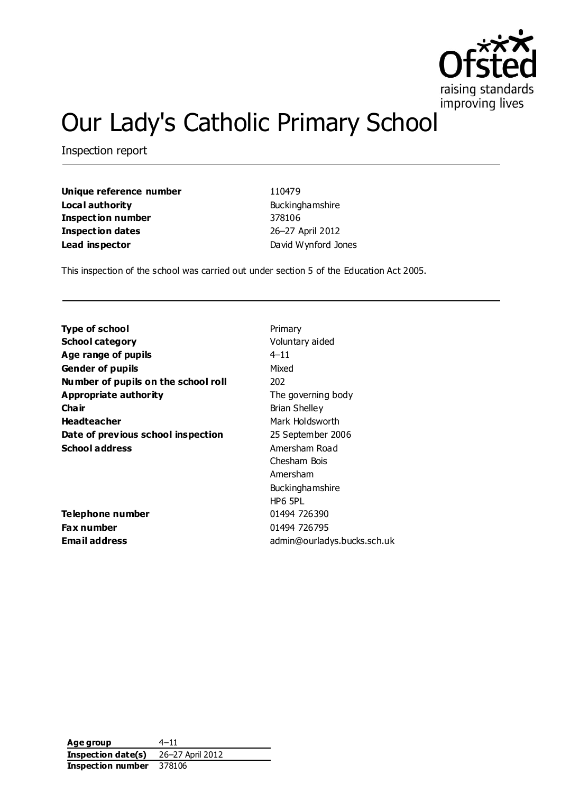

# Our Lady's Catholic Primary School

Inspection report

**Unique reference number** 110479 **Local authority Buckinghamshire Inspection number** 378106 **Inspection dates** 26–27 April 2012 **Lead inspector** David Wynford Jones

This inspection of the school was carried out under section 5 of the Education Act 2005.

**Type of school** Primary **School category** Voluntary aided **Age range of pupils**  $4-11$ **Gender of pupils** Mixed **Number of pupils on the school roll** 202 **Appropriate authority** The governing body **Chair** Brian Shelley **Headteacher** Mark Holdsworth **Date of previous school inspection** 25 September 2006 **School address** Amersham Road

**Telephone number** 01494 726390 **Fax number** 01494 726795

Chesham Bois Amersham Buckinghamshire HP6 5PL **Email address** admin@ourladys.bucks.sch.uk

**Age group** 4–11 **Inspection date(s)** 26–27 April 2012 **Inspection number** 378106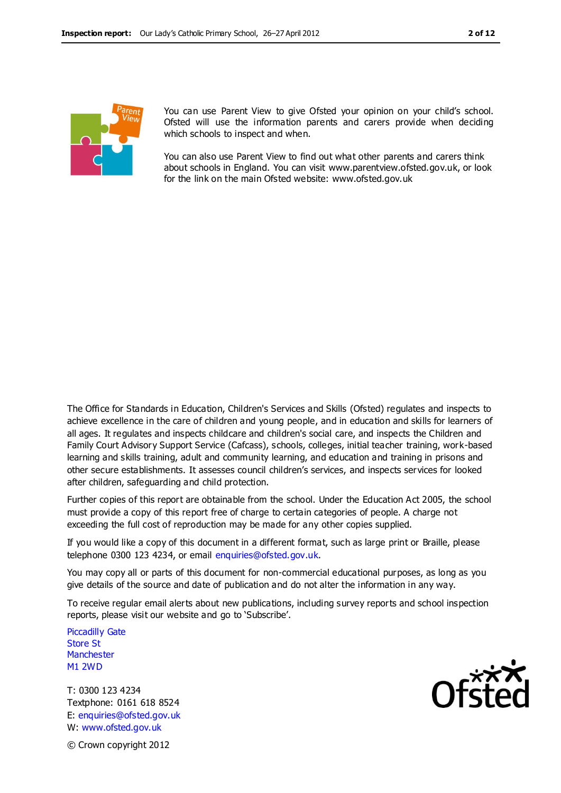

You can use Parent View to give Ofsted your opinion on your child's school. Ofsted will use the information parents and carers provide when deciding which schools to inspect and when.

You can also use Parent View to find out what other parents and carers think about schools in England. You can visit www.parentview.ofsted.gov.uk, or look for the link on the main Ofsted website: www.ofsted.gov.uk

The Office for Standards in Education, Children's Services and Skills (Ofsted) regulates and inspects to achieve excellence in the care of children and young people, and in education and skills for learners of all ages. It regulates and inspects childcare and children's social care, and inspects the Children and Family Court Advisory Support Service (Cafcass), schools, colleges, initial teacher training, work-based learning and skills training, adult and community learning, and education and training in prisons and other secure establishments. It assesses council children's services, and inspects services for looked after children, safeguarding and child protection.

Further copies of this report are obtainable from the school. Under the Education Act 2005, the school must provide a copy of this report free of charge to certain categories of people. A charge not exceeding the full cost of reproduction may be made for any other copies supplied.

If you would like a copy of this document in a different format, such as large print or Braille, please telephone 0300 123 4234, or email enquiries@ofsted.gov.uk.

You may copy all or parts of this document for non-commercial educational purposes, as long as you give details of the source and date of publication and do not alter the information in any way.

To receive regular email alerts about new publications, including survey reports and school inspection reports, please visit our website and go to 'Subscribe'.

Piccadilly Gate Store St **Manchester** M1 2WD

T: 0300 123 4234 Textphone: 0161 618 8524 E: enquiries@ofsted.gov.uk W: www.ofsted.gov.uk

© Crown copyright 2012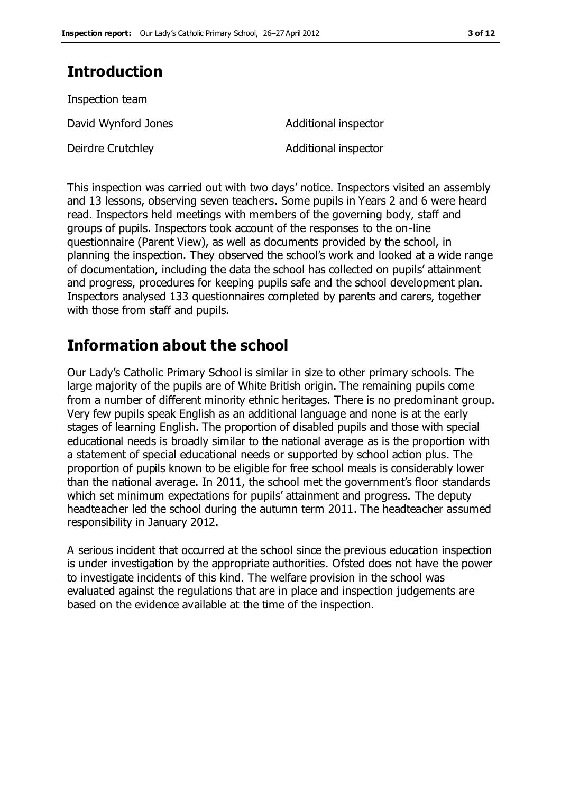## **Introduction**

| Inspection team     |                      |
|---------------------|----------------------|
| David Wynford Jones | Additional inspector |
| Deirdre Crutchley   | Additional inspector |

This inspection was carried out with two days' notice. Inspectors visited an assembly and 13 lessons, observing seven teachers. Some pupils in Years 2 and 6 were heard read. Inspectors held meetings with members of the governing body, staff and groups of pupils. Inspectors took account of the responses to the on-line questionnaire (Parent View), as well as documents provided by the school, in planning the inspection. They observed the school's work and looked at a wide range of documentation, including the data the school has collected on pupils' attainment and progress, procedures for keeping pupils safe and the school development plan. Inspectors analysed 133 questionnaires completed by parents and carers, together with those from staff and pupils.

## **Information about the school**

Our Lady's Catholic Primary School is similar in size to other primary schools. The large majority of the pupils are of White British origin. The remaining pupils come from a number of different minority ethnic heritages. There is no predominant group. Very few pupils speak English as an additional language and none is at the early stages of learning English. The proportion of disabled pupils and those with special educational needs is broadly similar to the national average as is the proportion with a statement of special educational needs or supported by school action plus. The proportion of pupils known to be eligible for free school meals is considerably lower than the national average. In 2011, the school met the government's floor standards which set minimum expectations for pupils' attainment and progress. The deputy headteacher led the school during the autumn term 2011. The headteacher assumed responsibility in January 2012.

A serious incident that occurred at the school since the previous education inspection is under investigation by the appropriate authorities. Ofsted does not have the power to investigate incidents of this kind. The welfare provision in the school was evaluated against the regulations that are in place and inspection judgements are based on the evidence available at the time of the inspection.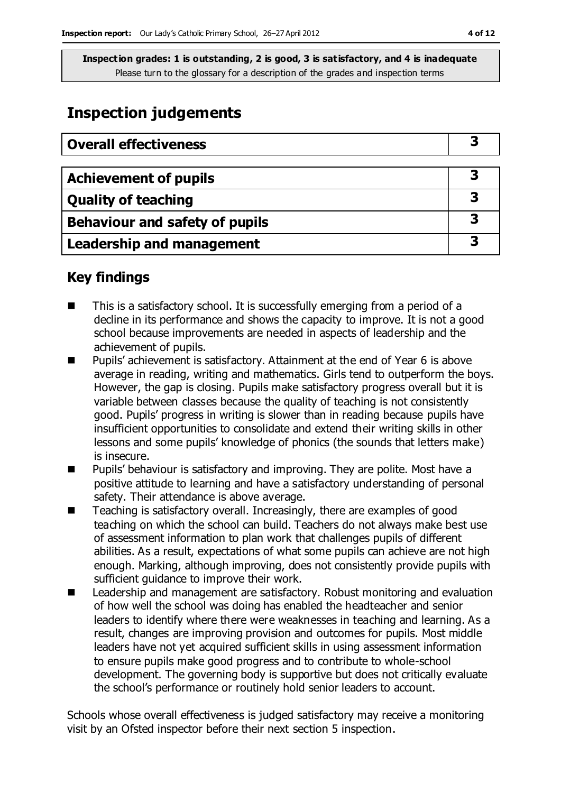## **Inspection judgements**

| <b>Overall effectiveness</b>     |   |
|----------------------------------|---|
|                                  |   |
| <b>Achievement of pupils</b>     | 3 |
| <b>Quality of teaching</b>       |   |
| Behaviour and safety of pupils   | З |
| <b>Leadership and management</b> |   |

## **Key findings**

- This is a satisfactory school. It is successfully emerging from a period of a decline in its performance and shows the capacity to improve. It is not a good school because improvements are needed in aspects of leadership and the achievement of pupils.
- Pupils' achievement is satisfactory. Attainment at the end of Year 6 is above average in reading, writing and mathematics. Girls tend to outperform the boys. However, the gap is closing. Pupils make satisfactory progress overall but it is variable between classes because the quality of teaching is not consistently good. Pupils' progress in writing is slower than in reading because pupils have insufficient opportunities to consolidate and extend their writing skills in other lessons and some pupils' knowledge of phonics (the sounds that letters make) is insecure.
- Pupils' behaviour is satisfactory and improving. They are polite. Most have a positive attitude to learning and have a satisfactory understanding of personal safety. Their attendance is above average.
- Teaching is satisfactory overall. Increasingly, there are examples of good teaching on which the school can build. Teachers do not always make best use of assessment information to plan work that challenges pupils of different abilities. As a result, expectations of what some pupils can achieve are not high enough. Marking, although improving, does not consistently provide pupils with sufficient guidance to improve their work.
- Leadership and management are satisfactory. Robust monitoring and evaluation of how well the school was doing has enabled the headteacher and senior leaders to identify where there were weaknesses in teaching and learning. As a result, changes are improving provision and outcomes for pupils. Most middle leaders have not yet acquired sufficient skills in using assessment information to ensure pupils make good progress and to contribute to whole-school development. The governing body is supportive but does not critically evaluate the school's performance or routinely hold senior leaders to account.

Schools whose overall effectiveness is judged satisfactory may receive a monitoring visit by an Ofsted inspector before their next section 5 inspection.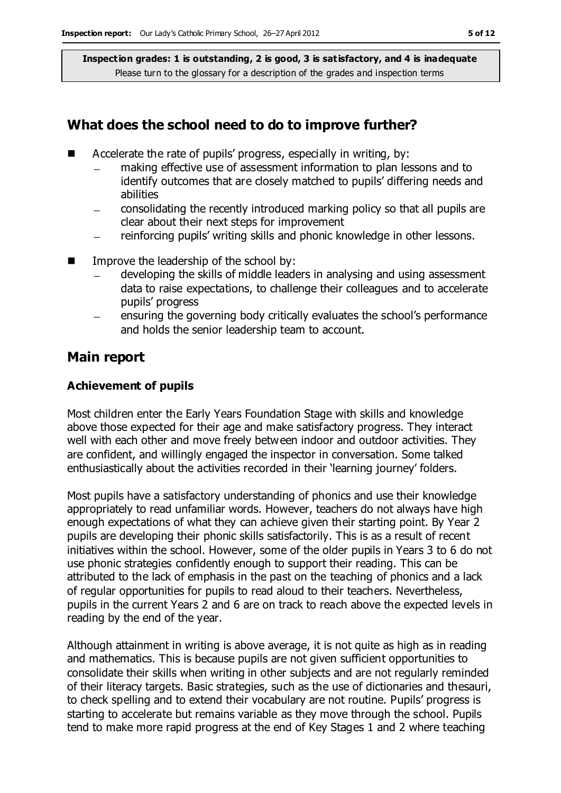#### **What does the school need to do to improve further?**

- Accelerate the rate of pupils' progress, especially in writing, by:
	- making effective use of assessment information to plan lessons and to identify outcomes that are closely matched to pupils' differing needs and abilities
	- consolidating the recently introduced marking policy so that all pupils are clear about their next steps for improvement
	- reinforcing pupils' writing skills and phonic knowledge in other lessons.  $\equiv$
- $\blacksquare$  Improve the leadership of the school by:
	- developing the skills of middle leaders in analysing and using assessment data to raise expectations, to challenge their colleagues and to accelerate pupils' progress
	- ensuring the governing body critically evaluates the school's performance and holds the senior leadership team to account.

#### **Main report**

#### **Achievement of pupils**

Most children enter the Early Years Foundation Stage with skills and knowledge above those expected for their age and make satisfactory progress. They interact well with each other and move freely between indoor and outdoor activities. They are confident, and willingly engaged the inspector in conversation. Some talked enthusiastically about the activities recorded in their 'learning journey' folders.

Most pupils have a satisfactory understanding of phonics and use their knowledge appropriately to read unfamiliar words. However, teachers do not always have high enough expectations of what they can achieve given their starting point. By Year 2 pupils are developing their phonic skills satisfactorily. This is as a result of recent initiatives within the school. However, some of the older pupils in Years 3 to 6 do not use phonic strategies confidently enough to support their reading. This can be attributed to the lack of emphasis in the past on the teaching of phonics and a lack of regular opportunities for pupils to read aloud to their teachers. Nevertheless, pupils in the current Years 2 and 6 are on track to reach above the expected levels in reading by the end of the year.

Although attainment in writing is above average, it is not quite as high as in reading and mathematics. This is because pupils are not given sufficient opportunities to consolidate their skills when writing in other subjects and are not regularly reminded of their literacy targets. Basic strategies, such as the use of dictionaries and thesauri, to check spelling and to extend their vocabulary are not routine. Pupils' progress is starting to accelerate but remains variable as they move through the school. Pupils tend to make more rapid progress at the end of Key Stages 1 and 2 where teaching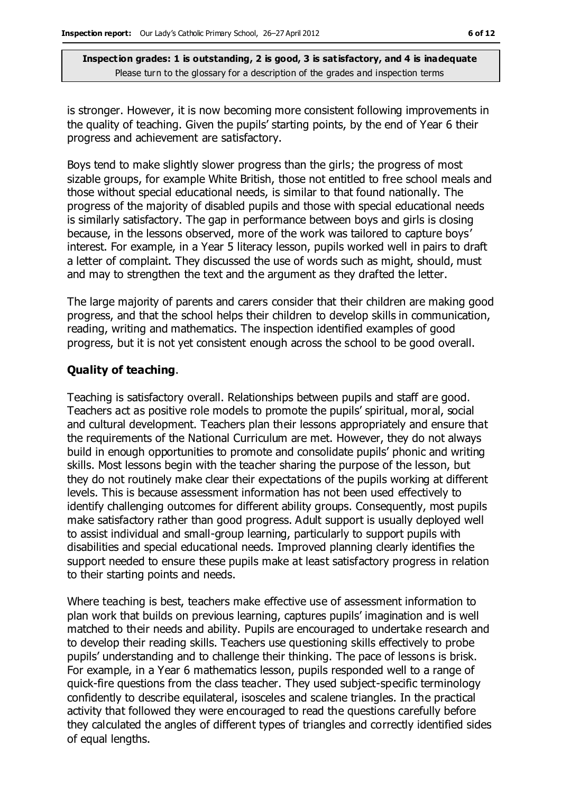is stronger. However, it is now becoming more consistent following improvements in the quality of teaching. Given the pupils' starting points, by the end of Year 6 their progress and achievement are satisfactory.

Boys tend to make slightly slower progress than the girls; the progress of most sizable groups, for example White British, those not entitled to free school meals and those without special educational needs, is similar to that found nationally. The progress of the majority of disabled pupils and those with special educational needs is similarly satisfactory. The gap in performance between boys and girls is closing because, in the lessons observed, more of the work was tailored to capture boys' interest. For example, in a Year 5 literacy lesson, pupils worked well in pairs to draft a letter of complaint. They discussed the use of words such as might, should, must and may to strengthen the text and the argument as they drafted the letter.

The large majority of parents and carers consider that their children are making good progress, and that the school helps their children to develop skills in communication, reading, writing and mathematics. The inspection identified examples of good progress, but it is not yet consistent enough across the school to be good overall.

#### **Quality of teaching**.

Teaching is satisfactory overall. Relationships between pupils and staff are good. Teachers act as positive role models to promote the pupils' spiritual, moral, social and cultural development. Teachers plan their lessons appropriately and ensure that the requirements of the National Curriculum are met. However, they do not always build in enough opportunities to promote and consolidate pupils' phonic and writing skills. Most lessons begin with the teacher sharing the purpose of the lesson, but they do not routinely make clear their expectations of the pupils working at different levels. This is because assessment information has not been used effectively to identify challenging outcomes for different ability groups. Consequently, most pupils make satisfactory rather than good progress. Adult support is usually deployed well to assist individual and small-group learning, particularly to support pupils with disabilities and special educational needs. Improved planning clearly identifies the support needed to ensure these pupils make at least satisfactory progress in relation to their starting points and needs.

Where teaching is best, teachers make effective use of assessment information to plan work that builds on previous learning, captures pupils' imagination and is well matched to their needs and ability. Pupils are encouraged to undertake research and to develop their reading skills. Teachers use questioning skills effectively to probe pupils' understanding and to challenge their thinking. The pace of lessons is brisk. For example, in a Year 6 mathematics lesson, pupils responded well to a range of quick-fire questions from the class teacher. They used subject-specific terminology confidently to describe equilateral, isosceles and scalene triangles. In the practical activity that followed they were encouraged to read the questions carefully before they calculated the angles of different types of triangles and correctly identified sides of equal lengths.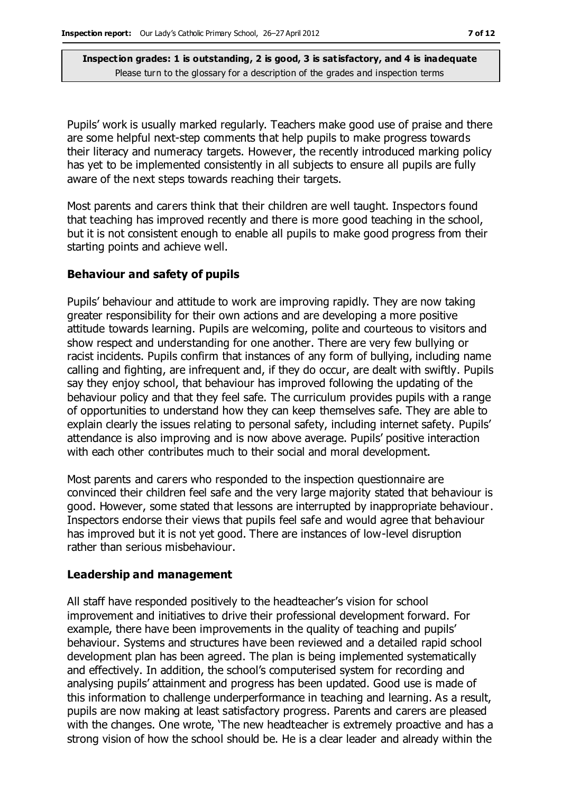Pupils' work is usually marked regularly. Teachers make good use of praise and there are some helpful next-step comments that help pupils to make progress towards their literacy and numeracy targets. However, the recently introduced marking policy has yet to be implemented consistently in all subjects to ensure all pupils are fully aware of the next steps towards reaching their targets.

Most parents and carers think that their children are well taught. Inspectors found that teaching has improved recently and there is more good teaching in the school, but it is not consistent enough to enable all pupils to make good progress from their starting points and achieve well.

#### **Behaviour and safety of pupils**

Pupils' behaviour and attitude to work are improving rapidly. They are now taking greater responsibility for their own actions and are developing a more positive attitude towards learning. Pupils are welcoming, polite and courteous to visitors and show respect and understanding for one another. There are very few bullying or racist incidents. Pupils confirm that instances of any form of bullying, including name calling and fighting, are infrequent and, if they do occur, are dealt with swiftly. Pupils say they enjoy school, that behaviour has improved following the updating of the behaviour policy and that they feel safe. The curriculum provides pupils with a range of opportunities to understand how they can keep themselves safe. They are able to explain clearly the issues relating to personal safety, including internet safety. Pupils' attendance is also improving and is now above average. Pupils' positive interaction with each other contributes much to their social and moral development.

Most parents and carers who responded to the inspection questionnaire are convinced their children feel safe and the very large majority stated that behaviour is good. However, some stated that lessons are interrupted by inappropriate behaviour. Inspectors endorse their views that pupils feel safe and would agree that behaviour has improved but it is not yet good. There are instances of low-level disruption rather than serious misbehaviour.

#### **Leadership and management**

All staff have responded positively to the headteacher's vision for school improvement and initiatives to drive their professional development forward. For example, there have been improvements in the quality of teaching and pupils' behaviour. Systems and structures have been reviewed and a detailed rapid school development plan has been agreed. The plan is being implemented systematically and effectively. In addition, the school's computerised system for recording and analysing pupils' attainment and progress has been updated. Good use is made of this information to challenge underperformance in teaching and learning. As a result, pupils are now making at least satisfactory progress. Parents and carers are pleased with the changes. One wrote, 'The new headteacher is extremely proactive and has a strong vision of how the school should be. He is a clear leader and already within the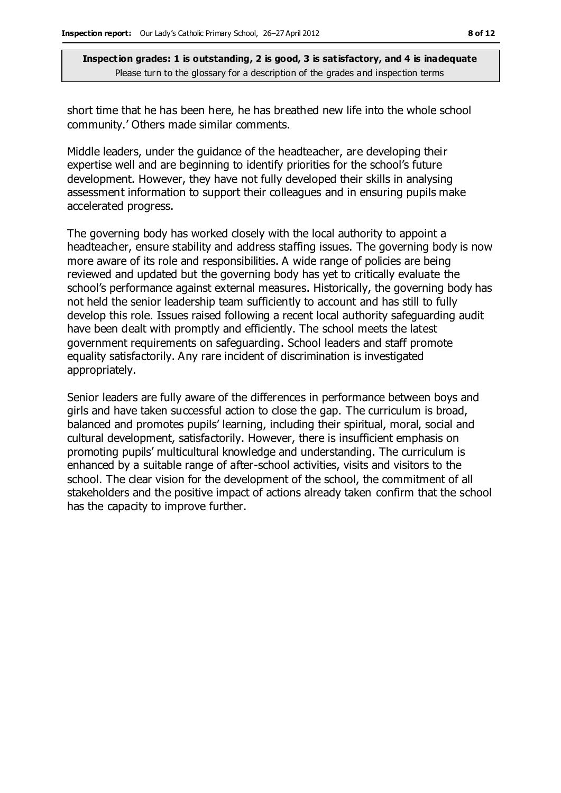short time that he has been here, he has breathed new life into the whole school community.' Others made similar comments.

Middle leaders, under the guidance of the headteacher, are developing their expertise well and are beginning to identify priorities for the school's future development. However, they have not fully developed their skills in analysing assessment information to support their colleagues and in ensuring pupils make accelerated progress.

The governing body has worked closely with the local authority to appoint a headteacher, ensure stability and address staffing issues. The governing body is now more aware of its role and responsibilities. A wide range of policies are being reviewed and updated but the governing body has yet to critically evaluate the school's performance against external measures. Historically, the governing body has not held the senior leadership team sufficiently to account and has still to fully develop this role. Issues raised following a recent local authority safeguarding audit have been dealt with promptly and efficiently. The school meets the latest government requirements on safeguarding. School leaders and staff promote equality satisfactorily. Any rare incident of discrimination is investigated appropriately.

Senior leaders are fully aware of the differences in performance between boys and girls and have taken successful action to close the gap. The curriculum is broad, balanced and promotes pupils' learning, including their spiritual, moral, social and cultural development, satisfactorily. However, there is insufficient emphasis on promoting pupils' multicultural knowledge and understanding. The curriculum is enhanced by a suitable range of after-school activities, visits and visitors to the school. The clear vision for the development of the school, the commitment of all stakeholders and the positive impact of actions already taken confirm that the school has the capacity to improve further.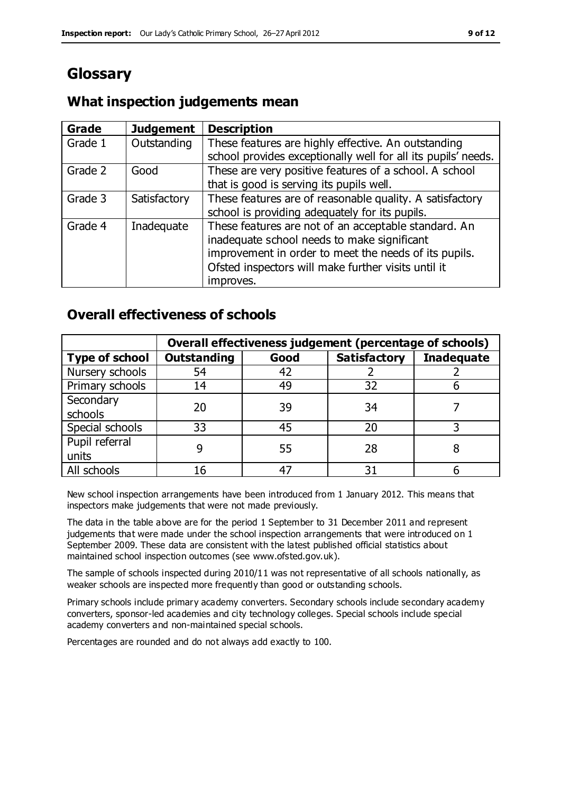## **Glossary**

#### **Grade Judgement Description** Grade  $1$  | Outstanding | These features are highly effective. An outstanding school provides exceptionally well for all its pupils' needs. Grade 2 Good These are very positive features of a school. A school that is good is serving its pupils well. Grade 3  $\parallel$  Satisfactory  $\parallel$  These features are of reasonable quality. A satisfactory school is providing adequately for its pupils. Grade 4  $\parallel$  Inadequate  $\parallel$  These features are not of an acceptable standard. An inadequate school needs to make significant improvement in order to meet the needs of its pupils. Ofsted inspectors will make further visits until it improves.

### **What inspection judgements mean**

#### **Overall effectiveness of schools**

|                       | Overall effectiveness judgement (percentage of schools) |      |                     |                   |
|-----------------------|---------------------------------------------------------|------|---------------------|-------------------|
| <b>Type of school</b> | <b>Outstanding</b>                                      | Good | <b>Satisfactory</b> | <b>Inadequate</b> |
| Nursery schools       | 54                                                      | 42   |                     |                   |
| Primary schools       | 14                                                      | 49   | 32                  |                   |
| Secondary             | 20                                                      | 39   | 34                  |                   |
| schools               |                                                         |      |                     |                   |
| Special schools       | 33                                                      | 45   | 20                  |                   |
| Pupil referral        |                                                         | 55   | 28                  |                   |
| units                 |                                                         |      |                     |                   |
| All schools           |                                                         |      | م -                 |                   |

New school inspection arrangements have been introduced from 1 January 2012. This means that inspectors make judgements that were not made previously.

The data in the table above are for the period 1 September to 31 December 2011 and represent judgements that were made under the school inspection arrangements that were introduced on 1 September 2009. These data are consistent with the latest published official statistics about maintained school inspection outcomes (see www.ofsted.gov.uk).

The sample of schools inspected during 2010/11 was not representative of all schools nationally, as weaker schools are inspected more frequently than good or outstanding schools.

Primary schools include primary academy converters. Secondary schools include secondary academy converters, sponsor-led academies and city technology colleges. Special schools include special academy converters and non-maintained special schools.

Percentages are rounded and do not always add exactly to 100.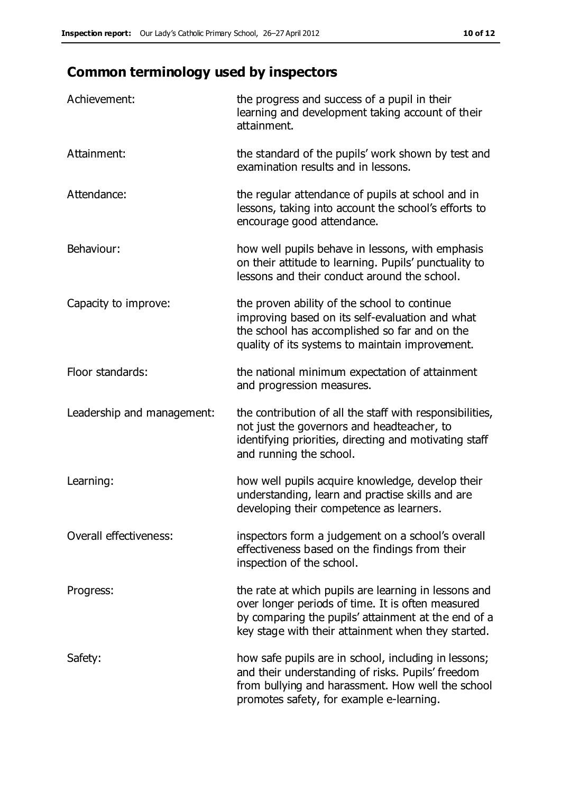## **Common terminology used by inspectors**

| Achievement:               | the progress and success of a pupil in their<br>learning and development taking account of their<br>attainment.                                                                                                        |
|----------------------------|------------------------------------------------------------------------------------------------------------------------------------------------------------------------------------------------------------------------|
| Attainment:                | the standard of the pupils' work shown by test and<br>examination results and in lessons.                                                                                                                              |
| Attendance:                | the regular attendance of pupils at school and in<br>lessons, taking into account the school's efforts to<br>encourage good attendance.                                                                                |
| Behaviour:                 | how well pupils behave in lessons, with emphasis<br>on their attitude to learning. Pupils' punctuality to<br>lessons and their conduct around the school.                                                              |
| Capacity to improve:       | the proven ability of the school to continue<br>improving based on its self-evaluation and what<br>the school has accomplished so far and on the<br>quality of its systems to maintain improvement.                    |
| Floor standards:           | the national minimum expectation of attainment<br>and progression measures.                                                                                                                                            |
| Leadership and management: | the contribution of all the staff with responsibilities,<br>not just the governors and headteacher, to<br>identifying priorities, directing and motivating staff<br>and running the school.                            |
| Learning:                  | how well pupils acquire knowledge, develop their<br>understanding, learn and practise skills and are<br>developing their competence as learners.                                                                       |
| Overall effectiveness:     | inspectors form a judgement on a school's overall<br>effectiveness based on the findings from their<br>inspection of the school.                                                                                       |
| Progress:                  | the rate at which pupils are learning in lessons and<br>over longer periods of time. It is often measured<br>by comparing the pupils' attainment at the end of a<br>key stage with their attainment when they started. |
| Safety:                    | how safe pupils are in school, including in lessons;<br>and their understanding of risks. Pupils' freedom<br>from bullying and harassment. How well the school<br>promotes safety, for example e-learning.             |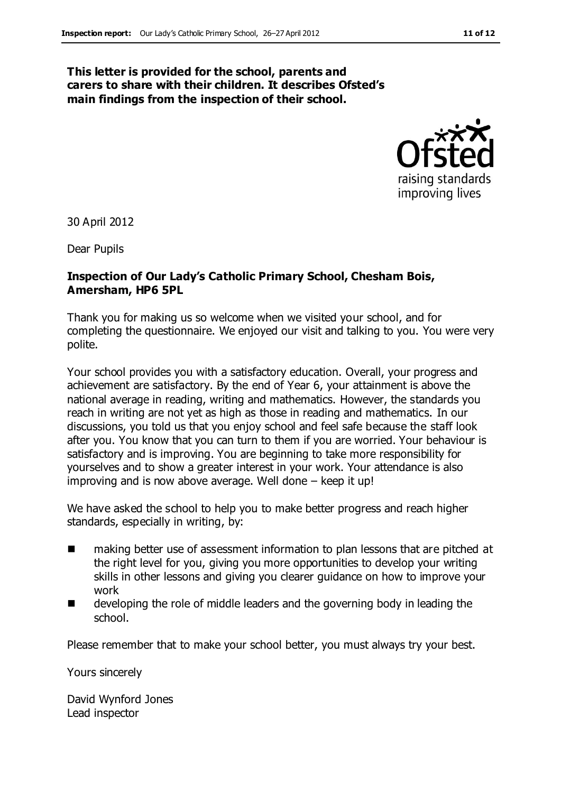#### **This letter is provided for the school, parents and carers to share with their children. It describes Ofsted's main findings from the inspection of their school.**



30 April 2012

Dear Pupils

#### **Inspection of Our Lady's Catholic Primary School, Chesham Bois, Amersham, HP6 5PL**

Thank you for making us so welcome when we visited your school, and for completing the questionnaire. We enjoyed our visit and talking to you. You were very polite.

Your school provides you with a satisfactory education. Overall, your progress and achievement are satisfactory. By the end of Year 6, your attainment is above the national average in reading, writing and mathematics. However, the standards you reach in writing are not yet as high as those in reading and mathematics. In our discussions, you told us that you enjoy school and feel safe because the staff look after you. You know that you can turn to them if you are worried. Your behaviour is satisfactory and is improving. You are beginning to take more responsibility for yourselves and to show a greater interest in your work. Your attendance is also improving and is now above average. Well done – keep it up!

We have asked the school to help you to make better progress and reach higher standards, especially in writing, by:

- making better use of assessment information to plan lessons that are pitched at the right level for you, giving you more opportunities to develop your writing skills in other lessons and giving you clearer guidance on how to improve your work
- $\blacksquare$  developing the role of middle leaders and the governing body in leading the school.

Please remember that to make your school better, you must always try your best.

Yours sincerely

David Wynford Jones Lead inspector